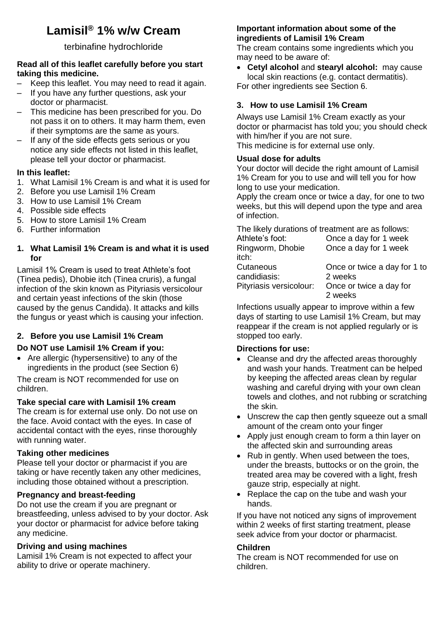# **Lamisil® 1% w/w Cream**

## terbinafine hydrochloride

#### **Read all of this leaflet carefully before you start taking this medicine.**

- Keep this leaflet. You may need to read it again.
- If you have any further questions, ask your doctor or pharmacist.
- This medicine has been prescribed for you. Do not pass it on to others. It may harm them, even if their symptoms are the same as yours.
- If any of the side effects gets serious or you notice any side effects not listed in this leaflet, please tell your doctor or pharmacist.

# **In this leaflet:**

- 1. What Lamisil 1% Cream is and what it is used for
- 2. Before you use Lamisil 1% Cream
- 3. How to use Lamisil 1% Cream
- 4. Possible side effects
- 5. How to store Lamisil 1% Cream
- 6. Further information

## **1. What Lamisil 1% Cream is and what it is used for**

Lamisil 1% Cream is used to treat Athlete's foot (Tinea pedis), Dhobie itch (Tinea cruris), a fungal infection of the skin known as Pityriasis versicolour and certain yeast infections of the skin (those caused by the genus Candida). It attacks and kills the fungus or yeast which is causing your infection.

# **2. Before you use Lamisil 1% Cream**

## **Do NOT use Lamisil 1% Cream if you:**

• Are allergic (hypersensitive) to any of the ingredients in the product (see Section 6)

The cream is NOT recommended for use on children.

# **Take special care with Lamisil 1% cream**

The cream is for external use only. Do not use on the face. Avoid contact with the eyes. In case of accidental contact with the eyes, rinse thoroughly with running water.

# **Taking other medicines**

Please tell your doctor or pharmacist if you are taking or have recently taken any other medicines, including those obtained without a prescription.

#### **Pregnancy and breast-feeding**

Do not use the cream if you are pregnant or breastfeeding, unless advised to by your doctor. Ask your doctor or pharmacist for advice before taking any medicine.

#### **Driving and using machines**

Lamisil 1% Cream is not expected to affect your ability to drive or operate machinery.

#### **Important information about some of the ingredients of Lamisil 1% Cream**

The cream contains some ingredients which you may need to be aware of:

 **Cetyl alcohol** and **stearyl alcohol:** may cause local skin reactions (e.g. contact dermatitis). For other ingredients see Section 6.

# **3. How to use Lamisil 1% Cream**

Always use Lamisil 1% Cream exactly as your doctor or pharmacist has told you; you should check with him/her if you are not sure.

This medicine is for external use only.

## **Usual dose for adults**

Your doctor will decide the right amount of Lamisil 1% Cream for you to use and will tell you for how long to use your medication.

Apply the cream once or twice a day, for one to two weeks, but this will depend upon the type and area of infection.

The likely durations of treatment are as follows:

| Athlete's foot:         | Once a day for 1 week        |
|-------------------------|------------------------------|
| Ringworm, Dhobie        | Once a day for 1 week        |
| itch:                   |                              |
| Cutaneous               | Once or twice a day for 1 to |
| candidiasis:            | 2 weeks                      |
| Pityriasis versicolour: | Once or twice a day for      |
|                         | 2 weeks                      |

Infections usually appear to improve within a few days of starting to use Lamisil 1% Cream, but may reappear if the cream is not applied regularly or is stopped too early.

#### **Directions for use:**

- Cleanse and dry the affected areas thoroughly and wash your hands. Treatment can be helped by keeping the affected areas clean by regular washing and careful drying with your own clean towels and clothes, and not rubbing or scratching the skin.
- Unscrew the cap then gently squeeze out a small amount of the cream onto your finger
- Apply just enough cream to form a thin layer on the affected skin and surrounding areas
- Rub in gently. When used between the toes, under the breasts, buttocks or on the groin, the treated area may be covered with a light, fresh gauze strip, especially at night.
- Replace the cap on the tube and wash your hands.

If you have not noticed any signs of improvement within 2 weeks of first starting treatment, please seek advice from your doctor or pharmacist.

#### **Children**

The cream is NOT recommended for use on children.